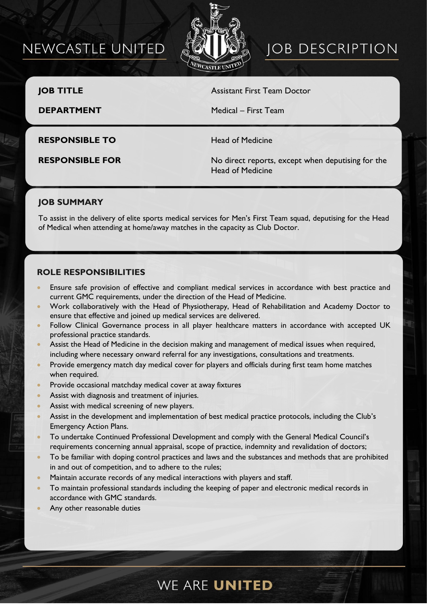## NEWCASTLE UNITED



# **JOB DESCRIPTION**

**JOB TITLE** Assistant First Team Doctor

**DEPARTMENT** Medical – First Team

**RESPONSIBLE TO** Head of Medicine

**RESPONSIBLE FOR** No direct reports, except when deputising for the Head of Medicine

## **JOB SUMMARY**

To assist in the delivery of elite sports medical services for Men's First Team squad, deputising for the Head of Medical when attending at home/away matches in the capacity as Club Doctor.

### **ROLE RESPONSIBILITIES**

- Ensure safe provision of effective and compliant medical services in accordance with best practice and current GMC requirements, under the direction of the Head of Medicine.
- Work collaboratively with the Head of Physiotherapy, Head of Rehabilitation and Academy Doctor to ensure that effective and joined up medical services are delivered.
- Follow Clinical Governance process in all player healthcare matters in accordance with accepted UK professional practice standards.
- Assist the Head of Medicine in the decision making and management of medical issues when required, including where necessary onward referral for any investigations, consultations and treatments.
- Provide emergency match day medical cover for players and officials during first team home matches when required.
- Provide occasional matchday medical cover at away fixtures
- Assist with diagnosis and treatment of injuries.
- Assist with medical screening of new players.
- Assist in the development and implementation of best medical practice protocols, including the Club's Emergency Action Plans.
- To undertake Continued Professional Development and comply with the General Medical Council's requirements concerning annual appraisal, scope of practice, indemnity and revalidation of doctors;
- To be familiar with doping control practices and laws and the substances and methods that are prohibited in and out of competition, and to adhere to the rules;
- Maintain accurate records of any medical interactions with players and staff.
- To maintain professional standards including the keeping of paper and electronic medical records in accordance with GMC standards.
- Any other reasonable duties

## WE ARE UNITED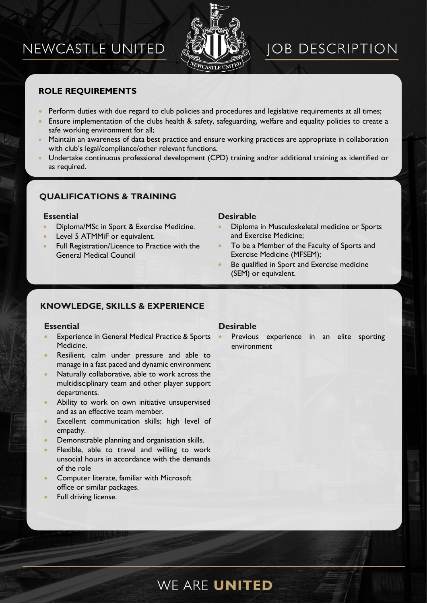## NEWCASTLE UNITED



## **JOB DESCRIPTION**

## **ROLE REQUIREMENTS**

- Perform duties with due regard to club policies and procedures and legislative requirements at all times;
- Ensure implementation of the clubs health & safety, safeguarding, welfare and equality policies to create a safe working environment for all;
- Maintain an awareness of data best practice and ensure working practices are appropriate in collaboration with club's legal/compliance/other relevant functions.
- Undertake continuous professional development (CPD) training and/or additional training as identified or as required.

## **QUALIFICATIONS & TRAINING**

- Diploma/MSc in Sport & Exercise Medicine.
- Level 5 ATMMiF or equivalent.
- Full Registration/Licence to Practice with the General Medical Council

#### **Essential Desirable**

- Diploma in Musculoskeletal medicine or Sports and Exercise Medicine;
- To be a Member of the Faculty of Sports and Exercise Medicine (MFSEM);
- Be qualified in Sport and Exercise medicine (SEM) or equivalent.

### **KNOWLEDGE, SKILLS & EXPERIENCE**

- **Experience in General Medical Practice & Sports** Medicine.
- Resilient, calm under pressure and able to manage in a fast paced and dynamic environment
- Naturally collaborative, able to work across the multidisciplinary team and other player support departments.
- Ability to work on own initiative unsupervised and as an effective team member.
- Excellent communication skills; high level of empathy.
- Demonstrable planning and organisation skills.
- Flexible, able to travel and willing to work unsocial hours in accordance with the demands of the role
- Computer literate, familiar with Microsoft office or similar packages.
- Full driving license.

#### **Essential Desirable**

•

Previous experience in an elite sporting environment

## WE ARE UNITED